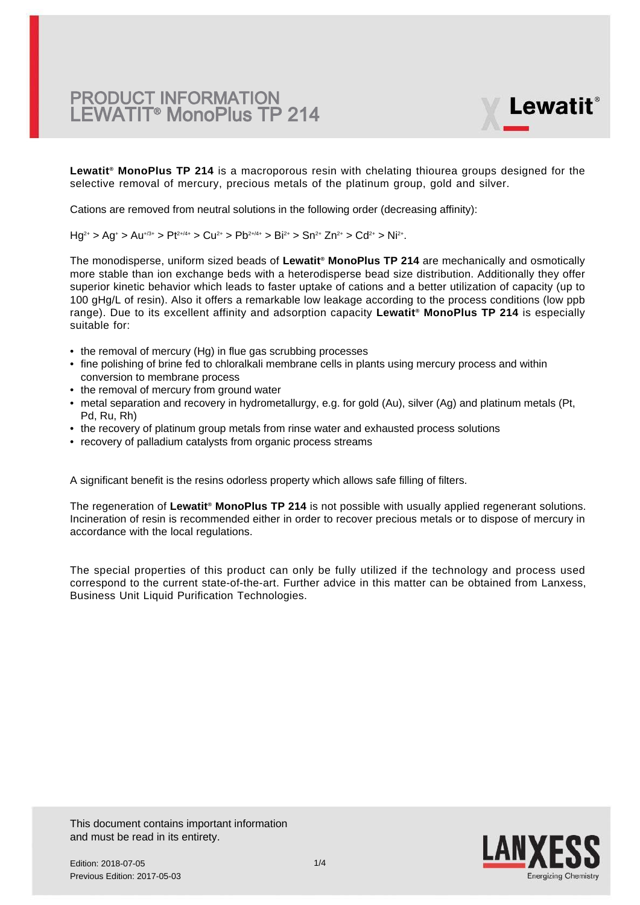

**Lewatit® MonoPlus TP 214** is a macroporous resin with chelating thiourea groups designed for the selective removal of mercury, precious metals of the platinum group, gold and silver.

Cations are removed from neutral solutions in the following order (decreasing affinity):

 $Hg^{2+} > Ag^+ > Au^{+/3+} > Pt^{2+/4+} > Cu^{2+} > Pb^{2+/4+} > Bi^{2+} > Sn^{2+} Zn^{2+} > Cd^{2+} > Ni^{2+}.$ 

The monodisperse, uniform sized beads of  **Lewatit® MonoPlus TP 214** are mechanically and osmotically more stable than ion exchange beds with a heterodisperse bead size distribution. Additionally they offer superior kinetic behavior which leads to faster uptake of cations and a better utilization of capacity (up to 100 gHg/L of resin). Also it offers a remarkable low leakage according to the process conditions (low ppb range). Due to its excellent affinity and adsorption capacity **Lewatit® MonoPlus TP 214** is especially suitable for:

- the removal of mercury (Hg) in flue gas scrubbing processes
- fine polishing of brine fed to chloralkali membrane cells in plants using mercury process and within conversion to membrane process
- the removal of mercury from ground water
- metal separation and recovery in hydrometallurgy, e.g. for gold (Au), silver (Ag) and platinum metals (Pt, Pd, Ru, Rh)
- the recovery of platinum group metals from rinse water and exhausted process solutions
- recovery of palladium catalysts from organic process streams

A significant benefit is the resins odorless property which allows safe filling of filters.

The regeneration of **Lewatit® MonoPlus TP 214** is not possible with usually applied regenerant solutions. Incineration of resin is recommended either in order to recover precious metals or to dispose of mercury in accordance with the local regulations.

The special properties of this product can only be fully utilized if the technology and process used correspond to the current state-of-the-art. Further advice in this matter can be obtained from Lanxess, Business Unit Liquid Purification Technologies.

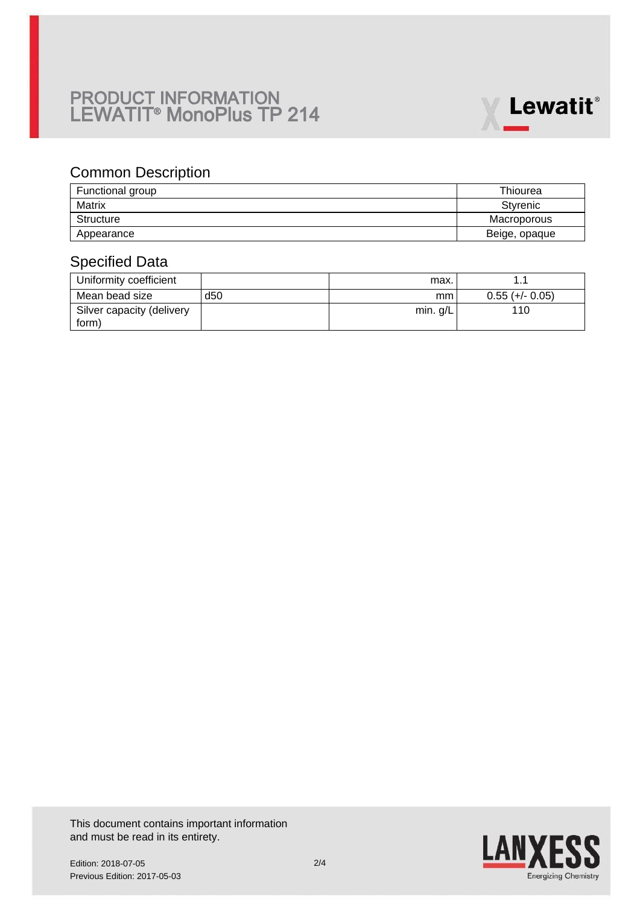

### Common Description

| Functional group | Thiourea      |
|------------------|---------------|
| Matrix           | Styrenic      |
| Structure        | Macroporous   |
| Appearance       | Beige, opaque |

### Specified Data

| Uniformity coefficient    |                 | max.       |                   |
|---------------------------|-----------------|------------|-------------------|
| Mean bead size            | d <sub>50</sub> | mm         | $0.55 (+/- 0.05)$ |
| Silver capacity (delivery |                 | min. $g/L$ | 110               |
| form)                     |                 |            |                   |

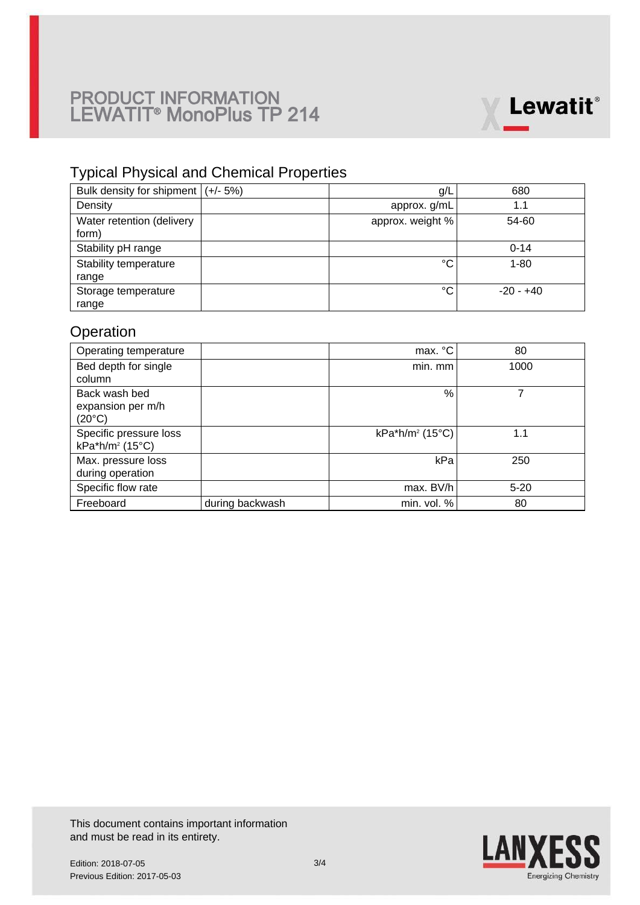

## Typical Physical and Chemical Properties

| Bulk density for shipment $ (+/- 5%)$ | g/L              | 680         |
|---------------------------------------|------------------|-------------|
| Density                               | approx. g/mL     | 1.1         |
| Water retention (delivery<br>form)    | approx. weight % | 54-60       |
| Stability pH range                    |                  | $0 - 14$    |
| Stability temperature                 | °C               | $1 - 80$    |
| range                                 |                  |             |
| Storage temperature                   | °C               | $-20 - +40$ |
| range                                 |                  |             |

# **Operation**

| Operating temperature       |                 | max. °C                     | 80       |
|-----------------------------|-----------------|-----------------------------|----------|
| Bed depth for single        |                 | min. mm                     | 1000     |
| column                      |                 |                             |          |
| Back wash bed               |                 | $\frac{0}{0}$               |          |
| expansion per m/h           |                 |                             |          |
| $(20^{\circ}C)$             |                 |                             |          |
| Specific pressure loss      |                 | kPa*h/m <sup>2</sup> (15°C) | 1.1      |
| kPa*h/m <sup>2</sup> (15°C) |                 |                             |          |
| Max. pressure loss          |                 | kPa                         | 250      |
| during operation            |                 |                             |          |
| Specific flow rate          |                 | max. BV/h                   | $5 - 20$ |
| Freeboard                   | during backwash | min. vol. %                 | 80       |